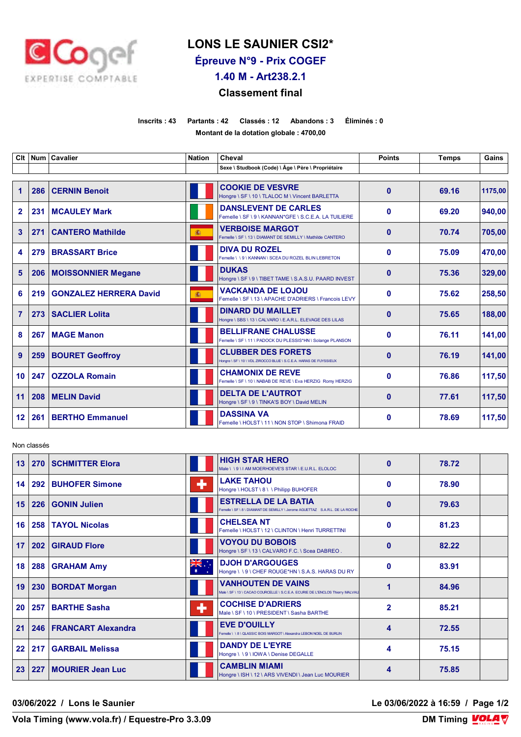

## **LONS LE SAUNIER CSI2\***

**Épreuve N°9 - Prix COGEF**

**1.40 M - Art238.2.1**

## **Classement final**

**Inscrits : 43 Partants : 42 Classés : 12 Abandons : 3 Éliminés : 0 Montant de la dotation globale : 4700,00**

| Clt            |     | Num   Cavalier                | <b>Nation</b> | Cheval                                                                                         | <b>Points</b> | <b>Temps</b> | Gains   |
|----------------|-----|-------------------------------|---------------|------------------------------------------------------------------------------------------------|---------------|--------------|---------|
|                |     |                               |               | Sexe \ Studbook (Code) \ Âge \ Père \ Propriétaire                                             |               |              |         |
| $\mathbf 1$    | 286 | <b>CERNIN Benoit</b>          |               | <b>COOKIE DE VESVRE</b><br>Hongre \ SF \ 10 \ TLALOC M \ Vincent BARLETTA                      | $\bf{0}$      | 69.16        | 1175.00 |
| $\overline{2}$ |     | 231   MCAULEY Mark            |               | <b>DANSLEVENT DE CARLES</b><br>Femelle \ SF \ 9 \ KANNAN*GFE \ S.C.E.A. LA TUILIERE            | 0             | 69.20        | 940,00  |
| 3              | 271 | <b>CANTERO Mathilde</b>       | 瀛             | <b>VERBOISE MARGOT</b><br>Femelle \ SF \ 13 \ DIAMANT DE SEMILLY \ Mathilde CANTERO            | $\mathbf{0}$  | 70.74        | 705,00  |
| 4              | 279 | <b>BRASSART Brice</b>         |               | <b>DIVA DU ROZEL</b><br>Femelle \\9\KANNAN\SCEA DU ROZEL BLIN LEBRETON                         | 0             | 75.09        | 470,00  |
| 5              |     | 206   MOISSONNIER Megane      |               | <b>DUKAS</b><br>Hongre \ SF \ 9 \ TIBET TAME \ S.A.S.U. PAARD INVEST                           | $\bf{0}$      | 75.36        | 329,00  |
| 6              | 219 | <b>GONZALEZ HERRERA David</b> | 瀛             | <b>VACKANDA DE LOJOU</b><br>Femelle \ SF \ 13 \ APACHE D'ADRIERS \ Francois LEVY               | $\bf{0}$      | 75.62        | 258,50  |
| $\overline{7}$ | 273 | <b>SACLIER Lolita</b>         |               | <b>DINARD DU MAILLET</b><br>Hongre \ SBS \ 13 \ CALVARO \ E.A.R.L. ELEVAGE DES LILAS           | $\bf{0}$      | 75.65        | 188,00  |
| 8              | 267 | <b>MAGE Manon</b>             |               | <b>BELLIFRANE CHALUSSE</b><br>Femelle \ SF \ 11 \ PADOCK DU PLESSIS*HN \ Solange PLANSON       | $\mathbf 0$   | 76.11        | 141,00  |
| 9              | 259 | <b>BOURET Geoffroy</b>        |               | <b>CLUBBER DES FORETS</b><br>Hongre \ SF \ 10 \ VDL ZIROCCO BLUE \ S.C.E.A. HARAS DE FUYSSIEUX | $\bf{0}$      | 76.19        | 141.00  |
| 10             | 247 | <b>OZZOLA Romain</b>          |               | <b>CHAMONIX DE REVE</b><br>Femelle \ SF \ 10 \ NABAB DE REVE \ Eva HERZIG Romy HERZIG          | 0             | 76.86        | 117,50  |
| 11             | 208 | <b>MELIN David</b>            |               | <b>DELTA DE L'AUTROT</b><br>Hongre \ SF \ 9 \ TINKA'S BOY \ David MELIN                        | $\bf{0}$      | 77.61        | 117,50  |
| $12 \,$        | 261 | <b>BERTHO Emmanuel</b>        |               | <b>DASSINA VA</b><br>Femelle \ HOLST \ 11 \ NON STOP \ Shimona FRAID                           | 0             | 78.69        | 117,50  |

Non classés

| 13              | 270 | <b>SCHMITTER Elora</b>   |              | <b>HIGH STAR HERO</b><br>Male \\9\IAM MOERHOEVE'S STAR \E.U.R.L. ELOLOC                                     | $\bf{0}$     | 78.72 |  |
|-----------------|-----|--------------------------|--------------|-------------------------------------------------------------------------------------------------------------|--------------|-------|--|
| 14              | 292 | <b>BUHOFER Simone</b>    | ٠            | <b>LAKE TAHOU</b><br>Hongre \ HOLST \ 8 \ \ Philipp BUHOFER                                                 | O            | 78.90 |  |
| 15              | 226 | GONIN Julien             |              | <b>ESTRELLA DE LA BATIA</b><br>Femelle \ SF \ 8 \ DIAMANT DE SEMILLY \ Jerome AGUETTAZ S.A.R.L. DE LA ROCHE | $\Omega$     | 79.63 |  |
| 16 <sup>1</sup> |     | 258   TAYOL Nicolas      |              | <b>CHELSEA NT</b><br>Femelle \ HOLST \ 12 \ CLINTON \ Henri TURRETTINI                                      | 0            | 81.23 |  |
| 17              | 202 | <b>GIRAUD Flore</b>      |              | <b>VOYOU DU BOBOIS</b><br>Hongre \ SF \ 13 \ CALVARO F.C. \ Scea DABREO.                                    | n            | 82.22 |  |
| 18              | 288 | <b>GRAHAM Amy</b>        | ÷, ak<br>$*$ | <b>DJOH D'ARGOUGES</b><br>Hongre \\9\CHEF ROUGE*HN\S.A.S. HARAS DU RY                                       | O            | 83.91 |  |
| 19              | 230 | <b>BORDAT Morgan</b>     |              | <b>VANHOUTEN DE VAINS</b><br>Male \ SF \ 13 \ CACAO COURCELLE \ S.C.E.A. ECURIE DE L'ENCLOS Thierry MALVAU  |              | 84.96 |  |
| 20              | 257 | <b>BARTHE Sasha</b>      | ٠            | <b>COCHISE D'ADRIERS</b><br>Male \ SF \ 10 \ PRESIDENT \ Sasha BARTHE                                       | $\mathbf{2}$ | 85.21 |  |
| 21              |     | 246   FRANCART Alexandra |              | <b>EVE D'OUILLY</b><br>Femelle \ \ 8 \ QLASSIC BOIS MARGOT \ Alexandra LEBON NOEL DE BURLIN                 | 4            | 72.55 |  |
| 22              | 217 | <b>GARBAIL Melissa</b>   |              | <b>DANDY DE L'EYRE</b><br>Hongre \\9\IOWA\Denise DEGALLE                                                    | 4            | 75.15 |  |
| 23              | 227 | <b>MOURIER Jean Luc</b>  |              | <b>CAMBLIN MIAMI</b><br>Hongre \ ISH \ 12 \ ARS VIVENDI \ Jean Luc MOURIER                                  | 4            | 75.85 |  |

**03/06/2022 / Lons le Saunier Le 03/06/2022 à 16:59 / Page 1/2**

**Vola Timing (www.vola.fr) / Equestre-Pro 3.3.09** 

**DM Timing VOLA V**